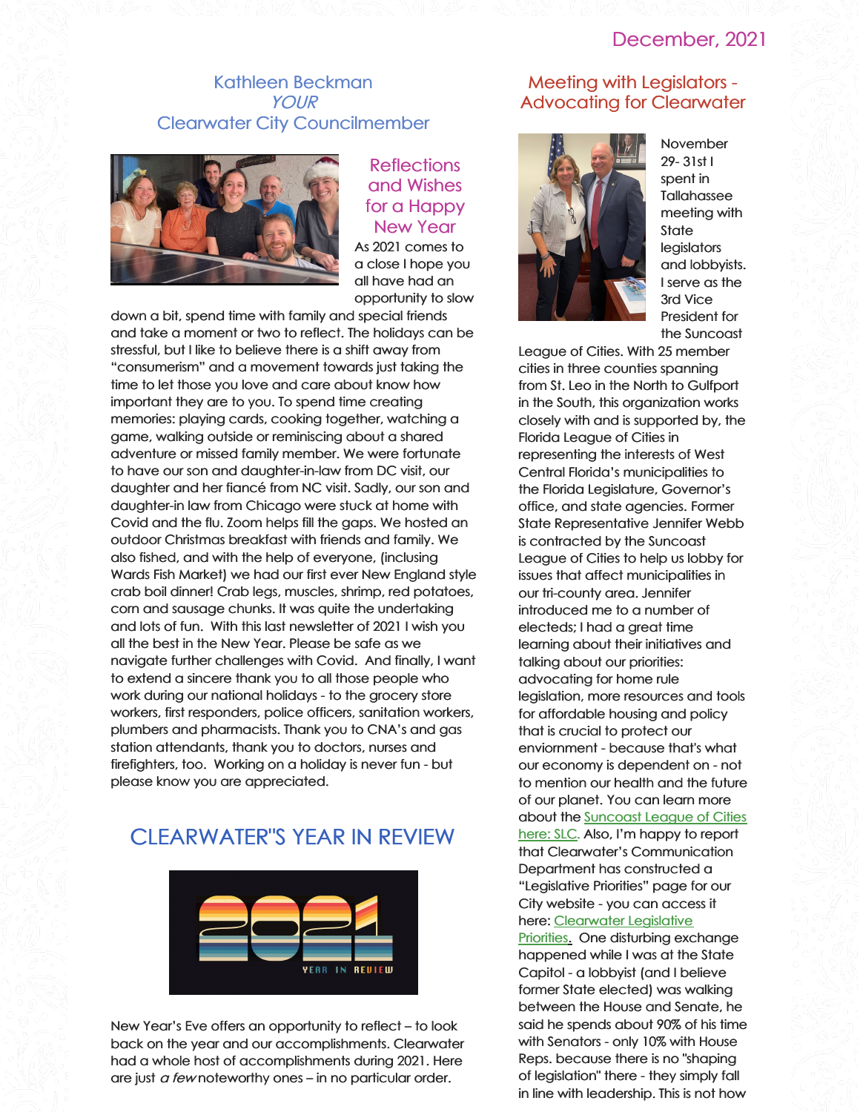# December, 2021

## Kathleen Beckman YOUR Clearwater City Councilmember



**Reflections** and Wishes for a Happy New Year As 2021 comes to a close I hope you all have had an opportunity to slow

down a bit, spend time with family and special friends and take a moment or two to reflect. The holidays can be stressful, but I like to believe there is a shift away from "consumerism" and a movement towards just taking the time to let those you love and care about know how important they are to you. To spend time creating memories: playing cards, cooking together, watching a game, walking outside or reminiscing about a shared adventure or missed family member. We were fortunate to have our son and daughter-in-law from DC visit, our daughter and her fiancé from NC visit. Sadly, our son and daughter-in law from Chicago were stuck at home with Covid and the flu. Zoom helps fill the gaps. We hosted an outdoor Christmas breakfast with friends and family. We also fished, and with the help of everyone, (inclusing Wards Fish Market) we had our first ever New England style crab boil dinner! Crab legs, muscles, shrimp, red potatoes, corn and sausage chunks. It was quite the undertaking and lots of fun. With this last newsletter of 2021 I wish you all the best in the New Year. Please be safe as we navigate further challenges with Covid. And finally, I want to extend a sincere thank you to all those people who work during our national holidays - to the grocery store workers, first responders, police officers, sanitation workers, plumbers and pharmacists. Thank you to CNA's and gas station attendants, thank you to doctors, nurses and firefighters, too. Working on a holiday is never fun - but please know you are appreciated.

# CLEARWATER"S YEAR IN REVIEW



New Year's Eve offers an opportunity to reflect – to look back on the year and our accomplishments. Clearwater had a whole host of accomplishments during 2021. Here are just *a few* noteworthy ones – in no particular order.

# Meeting with Legislators - Advocating for Clearwater



November 29- 31st I spent in **Tallahassee** meeting with **State legislators** and lobbyists. I serve as the 3rd Vice President for the Suncoast

League of Cities. With 25 member cities in three counties spanning from St. Leo in the North to Gulfport in the South, this organization works closely with and is supported by, the Florida League of Cities in representing the interests of West Central Florida's municipalities to the Florida Legislature, Governor's office, and state agencies. Former State Representative Jennifer Webb is contracted by the Suncoast League of Cities to help us lobby for issues that affect municipalities in our tri-county area. Jennifer introduced me to a number of electeds; I had a great time learning about their initiatives and talking about our priorities: advocating for home rule legislation, more resources and tools for affordable housing and policy that is crucial to protect our enviornment - because that's what our economy is dependent on - not to mention our health and the future of our planet. You can learn more about the **[Suncoast](https://suncoastleagueofcities.org/) League of Cities** here: SLC. Also, I'm happy to report that Clearwater's Communication Department has constructed a "Legislative Priorities" page for our City website - you can access it here: [Clearwater](https://www.myclearwater.com/government/city-departments/city-clerk/legislative-agenda) Legislative Prioritie[s.](https://www.myclearwater.com/government/city-departments/city-clerk/legislative-agenda) One disturbing exchange happened while I was at the State Capitol - a lobbyist (and I believe former State elected) was walking between the House and Senate, he said he spends about 90% of his time with Senators - only 10% with House Reps. because there is no "shaping of legislation" there - they simply fall in line with leadership. This is not how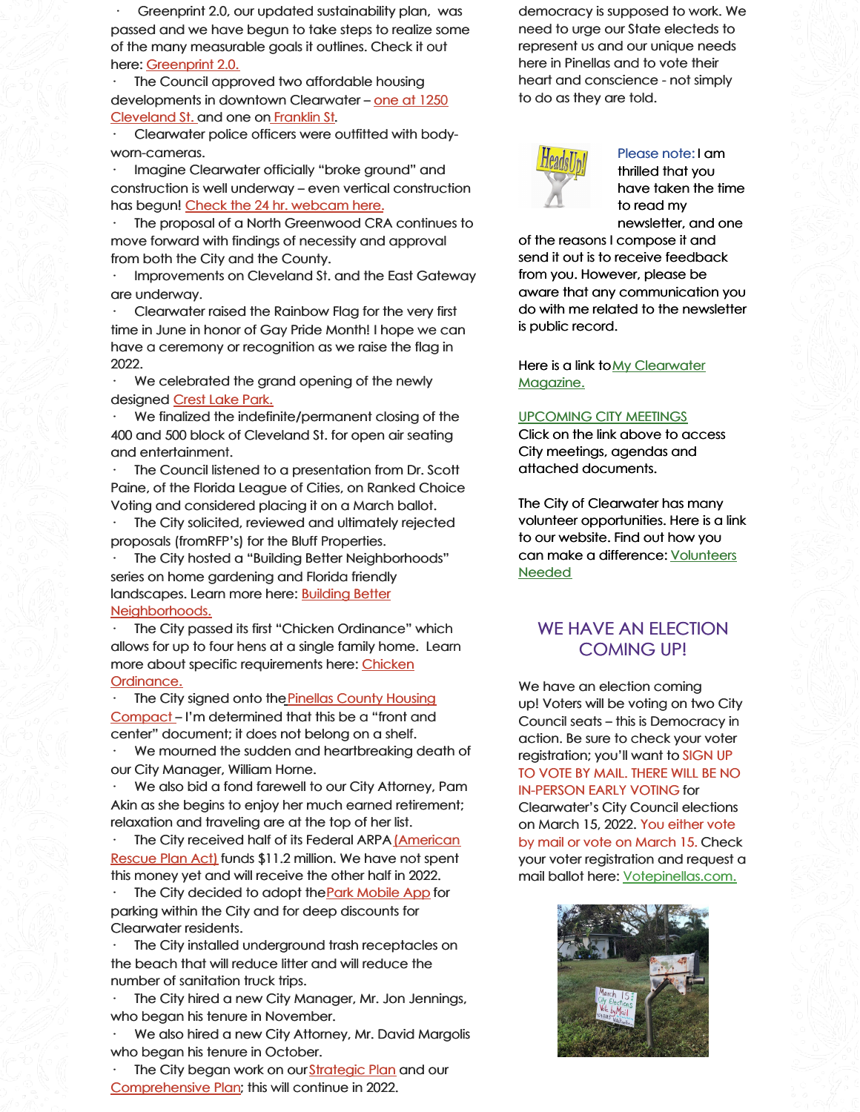Greenprint 2.0, our updated sustainability plan, was passed and we have begun to take steps to realize some of the many measurable goals it outlines. Check it out here: [Greenprint](https://www.myclearwater.com/government/city-departments/greenprint-clearwater-s-sustainability-plan) 2.0.

The Council approved two affordable housing [developments](https://www.myclearwaterparks.com/facilities/facilities-amenities-locator/crest-lake-park) in downtown Clearwater – one at 1250 Cleveland St. and one on [Franklin](https://www.tampabay.com/news/clearwater/2021/12/03/clearwater-council-advances-affordable-housing-project-downtown/) St.

· Clearwater police officers were outfitted with bodyworn-cameras.

Imagine Clearwater officially "broke ground" and construction is well underway – even vertical construction has begun! Check the 24 hr. [webcam](https://www.myclearwater.com/residents/imagine-clearwater-new) here.

The proposal of a North Greenwood CRA continues to move forward with findings of necessity and approval from both the City and the County.

Improvements on Cleveland St. and the East Gateway are underway.

Clearwater raised the Rainbow Flag for the very first time in June in honor of Gay Pride Month! I hope we can have a ceremony or recognition as we raise the flag in 2022.

We celebrated the grand opening of the newly designed [Crest](https://www.myclearwaterparks.com/facilities/facilities-amenities-locator/crest-lake-park) Lake Park.

We finalized the indefinite/permanent closing of the 400 and 500 block of Cleveland St. for open air seating and entertainment.

The Council listened to a presentation from Dr. Scott Paine, of the Florida League of Cities, on Ranked Choice Voting and considered placing it on a March ballot.

The City solicited, reviewed and ultimately rejected proposals (fromRFP's) for the Bluff Properties.

The City hosted a "Building Better Neighborhoods" series on home gardening and Florida friendly landscapes. Learn more here: **Building Better** [Neighborhoods.](https://www.myclearwater.com/news-info/sustainability-resiliency/sustainability-news-accomplishments/building-better-neighborhoods)

The City passed its first "Chicken Ordinance" which allows for up to four hens at a single family home. Learn more about specific [requirements](https://www.myclearwater.com/home/showpublisheddocument/9871/637604639608270000) here: Chicken Ordinance.

Th[e](https://www.homesforpinellas.org/compact/) City signed onto the Pinellas County Housing Compact – I'm [determined](https://www.homesforpinellas.org/compact/) that this be a "front and center" document; it does not belong on a shelf.

We mourned the sudden and heartbreaking death of our City Manager, William Horne.

We also bid a fond farewell to our City Attorney, Pam Akin as she begins to enjoy her much earned retirement; relaxation and traveling are at the top of her list.

The City received half of its Federal ARPA (American Rescue Plan Act) funds \$11.2 million. We have not spent this money yet and will receive the other half in 2022.

The City decided to adopt the **Park [Mobile](https://www.myclearwater.com/government/city-departments/parking/parkmobile-resident-discount-program) App** for parking within the City and for deep discounts for Clearwater residents.

The City installed underground trash receptacles on the beach that will reduce litter and will reduce the number of sanitation truck trips.

The City hired a new City Manager, Mr. Jon Jennings, who began his tenure in November.

We also hired a new City Attorney, Mr. David Margolis who began his tenure in October.

The City began work on our [Strategic](https://www.myclearwater.com/government/city-departments/public-communications/documents-and-publications/20-year-strategic-vision) Plan and our [Comprehensive](https://www.myclearwater.com/government/city-departments/planning-development/divisions-/development-review-zoning/comprehensive-plan) Plan; this will continue in 2022.

democracy is supposed to work. We need to urge our State electeds to represent us and our unique needs here in Pinellas and to vote their heart and conscience - not simply to do as they are told.



Please note: I am thrilled that you have taken the time to read my newsletter, and one

of the reasons I compose it and send it out is to receive feedback from you. However, please be aware that any communication you do with me related to the newsletter is public record.

Here is a link toMy [Clearwater](https://www.myclearwater.com/government/city-departments/public-communications/documents-and-publications/myclearwater-magazine) Magazine.

#### [UPCOMING](http://clearwater.granicus.com/ViewPublisher.php?view_id=50) CITY MEETINGS

Click on the link above to access City meetings, agendas and attached documents.

The City of Clearwater has many volunteer opportunities. Here is a link to our website. Find out how you can make a [difference:](https://www.myclearwater.com/residents/volunteer) Volunteers Needed

# WE HAVE AN ELECTION COMING UP!

We have an election coming up! Voters will be voting on two City Council seats – this is Democracy in action. Be sure to check your voter registration; you'll want to SIGN UP TO VOTE BY MAIL. THERE WILL BE NO IN-PERSON EARLY VOTING for Clearwater's City Council elections on March 15, 2022. You either vote by mail or vote on March 15. Check your voter registration and request a mail ballot here: [Votepinellas.com.](http://votepinellas.com/)